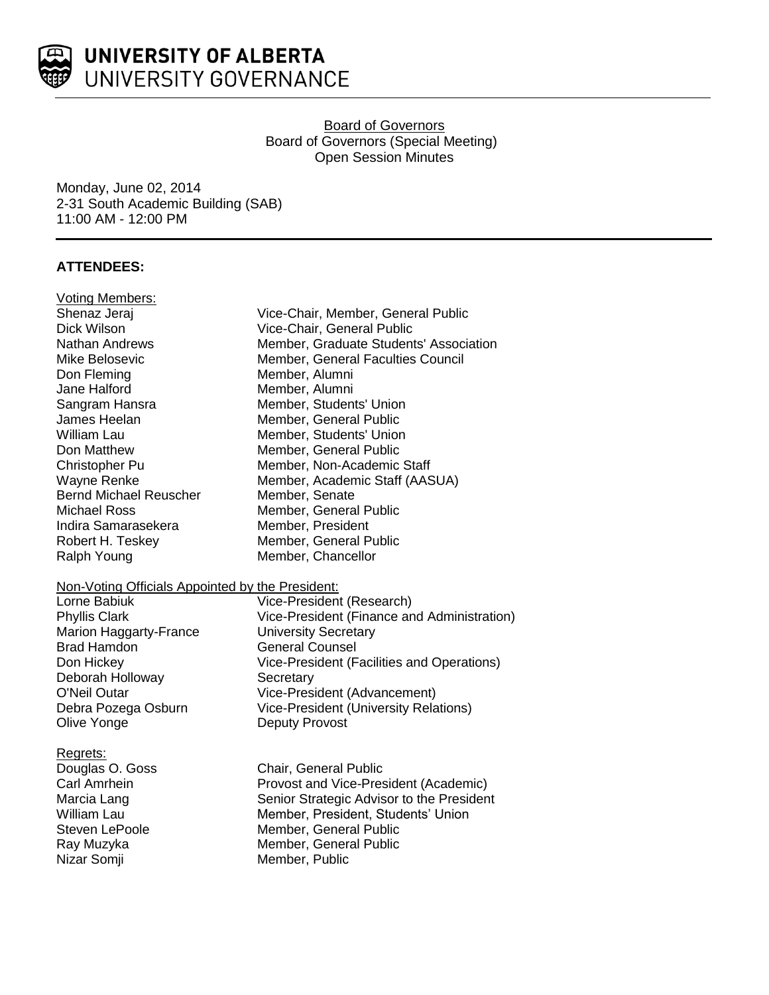

Board of Governors Board of Governors (Special Meeting) Open Session Minutes

Monday, June 02, 2014 2-31 South Academic Building (SAB) 11:00 AM - 12:00 PM

# **ATTENDEES:**

| <b>Voting Members:</b>                           |                                              |  |
|--------------------------------------------------|----------------------------------------------|--|
| Shenaz Jeraj                                     | Vice-Chair, Member, General Public           |  |
| Dick Wilson                                      | Vice-Chair, General Public                   |  |
| Nathan Andrews                                   | Member, Graduate Students' Association       |  |
| Mike Belosevic                                   | Member, General Faculties Council            |  |
| Don Fleming                                      | Member, Alumni                               |  |
| Jane Halford                                     | Member, Alumni                               |  |
| Sangram Hansra                                   | Member, Students' Union                      |  |
| James Heelan                                     | Member, General Public                       |  |
| <b>William Lau</b>                               | Member, Students' Union                      |  |
| Don Matthew                                      | Member, General Public                       |  |
| Christopher Pu                                   | Member, Non-Academic Staff                   |  |
| Wayne Renke                                      | Member, Academic Staff (AASUA)               |  |
| <b>Bernd Michael Reuscher</b>                    | Member, Senate                               |  |
| <b>Michael Ross</b>                              | Member, General Public                       |  |
| Indira Samarasekera                              | Member, President                            |  |
| Robert H. Teskey                                 | Member, General Public                       |  |
| Ralph Young                                      | Member, Chancellor                           |  |
| Non-Voting Officials Appointed by the President: |                                              |  |
| Lorne Babiuk                                     | Vice-President (Research)                    |  |
| <b>Phyllis Clark</b>                             | Vice-President (Finance and Administration)  |  |
| <b>Marion Haggarty-France</b>                    | <b>University Secretary</b>                  |  |
| <b>Brad Hamdon</b>                               | <b>General Counsel</b>                       |  |
| Don Hickey                                       | Vice-President (Facilities and Operations)   |  |
| Deborah Holloway                                 | Secretary                                    |  |
| <b>O'Neil Outar</b>                              | Vice-President (Advancement)                 |  |
| Debra Pozega Osburn                              | <b>Vice-President (University Relations)</b> |  |
| Olive Yonge                                      | <b>Deputy Provost</b>                        |  |
| Regrets:                                         |                                              |  |
| Douglas O. Goss                                  | Chair, General Public                        |  |
| Carl Amrhein                                     | Provost and Vice-President (Academic)        |  |
| Marcia Lang                                      | Senior Strategic Advisor to the President    |  |
| William Lau                                      | Member, President, Students' Union           |  |
| Steven LePoole                                   | Member, General Public                       |  |
| Ray Muzyka                                       | Member, General Public                       |  |
| Nizar Somji                                      | Member, Public                               |  |
|                                                  |                                              |  |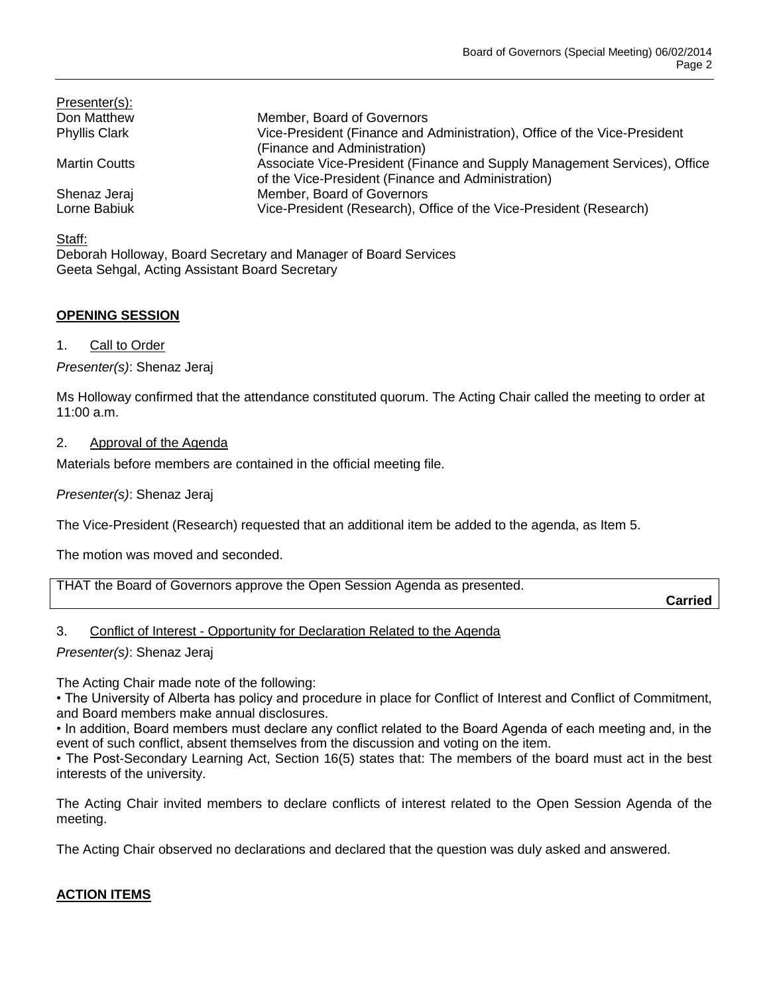| Presenter(s):        |                                                                                                                                 |
|----------------------|---------------------------------------------------------------------------------------------------------------------------------|
| Don Matthew          | Member, Board of Governors                                                                                                      |
| <b>Phyllis Clark</b> | Vice-President (Finance and Administration), Office of the Vice-President<br>(Finance and Administration)                       |
| <b>Martin Coutts</b> | Associate Vice-President (Finance and Supply Management Services), Office<br>of the Vice-President (Finance and Administration) |
| Shenaz Jeraj         | Member, Board of Governors                                                                                                      |
| Lorne Babiuk         | Vice-President (Research), Office of the Vice-President (Research)                                                              |

Staff:

Deborah Holloway, Board Secretary and Manager of Board Services Geeta Sehgal, Acting Assistant Board Secretary

# **OPENING SESSION**

1. Call to Order

*Presenter(s)*: Shenaz Jeraj

Ms Holloway confirmed that the attendance constituted quorum. The Acting Chair called the meeting to order at 11:00 a.m.

# 2. Approval of the Agenda

Materials before members are contained in the official meeting file.

*Presenter(s)*: Shenaz Jeraj

The Vice-President (Research) requested that an additional item be added to the agenda, as Item 5.

The motion was moved and seconded.

| THAT the Board of Governors approve the Open Session Agenda as presented. |  |
|---------------------------------------------------------------------------|--|
|                                                                           |  |

**Carried**

## 3. Conflict of Interest - Opportunity for Declaration Related to the Agenda

*Presenter(s)*: Shenaz Jeraj

The Acting Chair made note of the following:

• The University of Alberta has policy and procedure in place for Conflict of Interest and Conflict of Commitment, and Board members make annual disclosures.

• In addition, Board members must declare any conflict related to the Board Agenda of each meeting and, in the event of such conflict, absent themselves from the discussion and voting on the item.

• The Post-Secondary Learning Act, Section 16(5) states that: The members of the board must act in the best interests of the university.

The Acting Chair invited members to declare conflicts of interest related to the Open Session Agenda of the meeting.

The Acting Chair observed no declarations and declared that the question was duly asked and answered.

# **ACTION ITEMS**